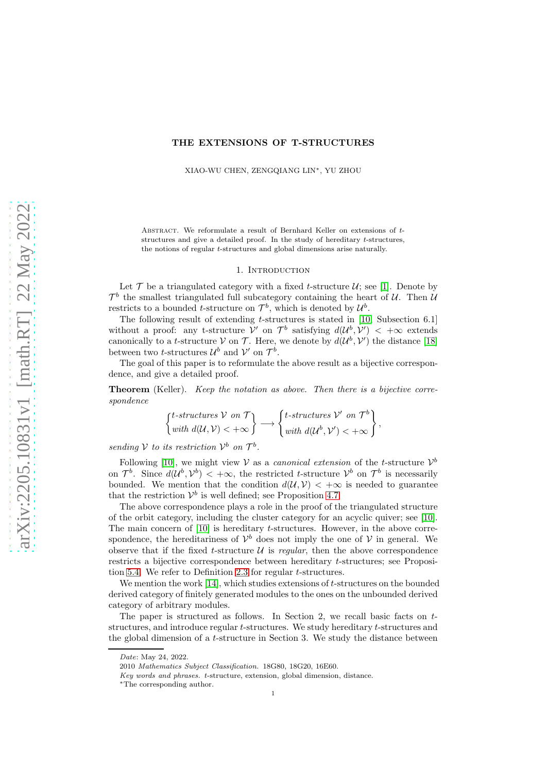# THE EXTENSIONS OF T-STRUCTURES

XIAO-WU CHEN, ZENGQIANG LIN∗, YU ZHOU

ABSTRACT. We reformulate a result of Bernhard Keller on extensions of tstructures and give a detailed proof. In the study of hereditary t-structures, the notions of regular t-structures and global dimensions arise naturally.

## 1. Introduction

Let  $\mathcal T$  be a triangulated category with a fixed t-structure  $\mathcal U$ ; see [\[1\]](#page-13-0). Denote by  $\mathcal{T}^b$  the smallest triangulated full subcategory containing the heart of U. Then U restricts to a bounded *t*-structure on  $\mathcal{T}^b$ , which is denoted by  $\mathcal{U}^b$ .

The following result of extending  $t$ -structures is stated in [\[10,](#page-13-1) Subsection 6.1] without a proof: any t-structure  $\mathcal{V}'$  on  $\mathcal{T}^b$  satisfying  $d(\mathcal{U}^b, \mathcal{V}') < +\infty$  extends canonically to a *t*-structure V on T. Here, we denote by  $d(\mathcal{U}^b, \mathcal{V}')$  the distance [\[18\]](#page-13-2) between two *t*-structures  $\mathcal{U}^b$  and  $\mathcal{V}'$  on  $\mathcal{T}^b$ .

The goal of this paper is to reformulate the above result as a bijective correspondence, and give a detailed proof.

Theorem (Keller). *Keep the notation as above. Then there is a bijective correspondence*

$$
\begin{Bmatrix} t-structures & \mathcal{V} \text{ on } \mathcal{T} \\ with \ d(\mathcal{U}, \mathcal{V}) < +\infty \end{Bmatrix} \longrightarrow \begin{Bmatrix} t-structures & \mathcal{V}' \text{ on } \mathcal{T}^b \\ with \ d(\mathcal{U}^b, \mathcal{V}') < +\infty \end{Bmatrix},
$$

*sending*  $V$  *to its restriction*  $V^b$  *on*  $\mathcal{T}^b$ *.* 

Following [\[10\]](#page-13-1), we might view  $V$  as a *canonical extension* of the *t*-structure  $V^b$ on  $\mathcal{T}^b$ . Since  $d(\mathcal{U}^b, \mathcal{V}^b) < +\infty$ , the restricted t-structure  $\mathcal{V}^b$  on  $\mathcal{T}^b$  is necessarily bounded. We mention that the condition  $d(U, V) < +\infty$  is needed to guarantee that the restriction  $\mathcal{V}^b$  is well defined; see Proposition [4.7.](#page-9-0)

The above correspondence plays a role in the proof of the triangulated structure of the orbit category, including the cluster category for an acyclic quiver; see [\[10\]](#page-13-1). The main concern of [\[10\]](#page-13-1) is hereditary t-structures. However, in the above correspondence, the hereditariness of  $\mathcal{V}^b$  does not imply the one of  $\mathcal V$  in general. We observe that if the fixed t-structure  $\mathcal U$  is *regular*, then the above correspondence restricts a bijective correspondence between hereditary t-structures; see Proposition [5.4.](#page-12-0) We refer to Definition [2.3](#page-2-0) for regular t-structures.

We mention the work  $[14]$ , which studies extensions of t-structures on the bounded derived category of finitely generated modules to the ones on the unbounded derived category of arbitrary modules.

The paper is structured as follows. In Section 2, we recall basic facts on  $t$ structures, and introduce regular t-structures. We study hereditary t-structures and the global dimension of a  $t$ -structure in Section 3. We study the distance between

*Date*: May 24, 2022.

<sup>2010</sup> *Mathematics Subject Classification.* 18G80, 18G20, 16E60.

*Key words and phrases.* t-structure, extension, global dimension, distance.

<sup>∗</sup>The corresponding author.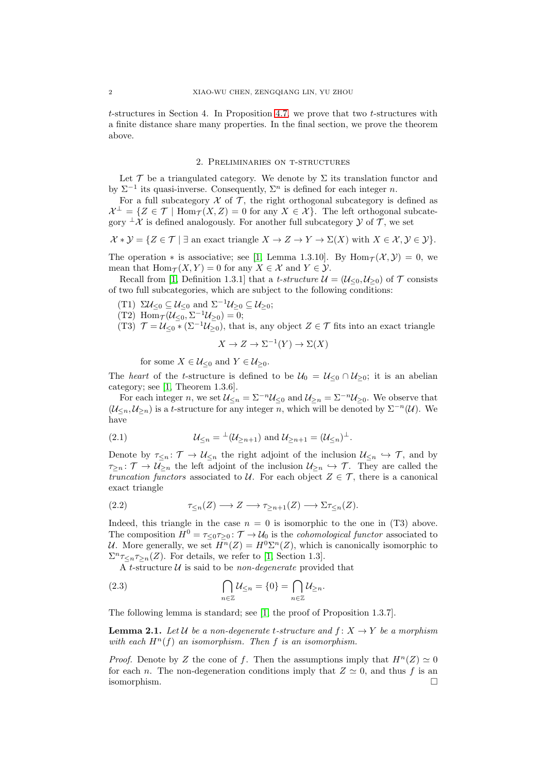$t$ -structures in Section 4. In Proposition [4.7,](#page-9-0) we prove that two  $t$ -structures with a finite distance share many properties. In the final section, we prove the theorem above.

## 2. Preliminaries on t-structures

Let  $\mathcal T$  be a triangulated category. We denote by  $\Sigma$  its translation functor and by  $\Sigma^{-1}$  its quasi-inverse. Consequently,  $\Sigma^{n}$  is defined for each integer *n*.

For a full subcategory  $\mathcal X$  of  $\mathcal T$ , the right orthogonal subcategory is defined as  $\mathcal{X}^{\perp} = \{ Z \in \mathcal{T} \mid \text{Hom}_{\mathcal{T}}(X, Z) = 0 \text{ for any } X \in \mathcal{X} \}.$  The left orthogonal subcategory  $\perp \mathcal{X}$  is defined analogously. For another full subcategory  $\mathcal{Y}$  of  $\mathcal{T}$ , we set

$$
\mathcal{X} * \mathcal{Y} = \{ Z \in \mathcal{T} \mid \exists \text{ an exact triangle } X \to Z \to Y \to \Sigma(X) \text{ with } X \in \mathcal{X}, \mathcal{Y} \in \mathcal{Y} \}.
$$

The operation  $*$  is associative; see [\[1,](#page-13-0) Lemma 1.3.10]. By Hom $\tau(\mathcal{X}, \mathcal{Y}) = 0$ , we mean that  $\text{Hom}_{\mathcal{T}}(X, Y) = 0$  for any  $X \in \mathcal{X}$  and  $Y \in \mathcal{Y}$ .

Recall from [\[1,](#page-13-0) Definition 1.3.1] that a *t-structure*  $\mathcal{U} = (\mathcal{U}_{\leq 0}, \mathcal{U}_{\geq 0})$  of  $\mathcal{T}$  consists of two full subcategories, which are subject to the following conditions:

- (T1)  $\Sigma \mathcal{U}_{\leq 0} \subseteq \mathcal{U}_{\leq 0}$  and  $\Sigma^{-1} \mathcal{U}_{\geq 0} \subseteq \mathcal{U}_{\geq 0}$ ;
- (T2) Hom $\tau(\mathcal{U}_{\leq 0}, \Sigma^{-1}\mathcal{U}_{\geq 0}) = 0;$
- (T3)  $\mathcal{T} = \mathcal{U}_{\leq 0} * (\Sigma^{-1} \mathcal{U}_{\geq 0})$ , that is, any object  $Z \in \mathcal{T}$  fits into an exact triangle

$$
X \to Z \to \Sigma^{-1}(Y) \to \Sigma(X)
$$

for some  $X \in \mathcal{U}_{\leq 0}$  and  $Y \in \mathcal{U}_{\geq 0}$ .

The *heart* of the *t*-structure is defined to be  $U_0 = U_{\leq 0} \cap U_{\geq 0}$ ; it is an abelian category; see [\[1,](#page-13-0) Theorem 1.3.6].

For each integer n, we set  $\mathcal{U}_{\leq n} = \Sigma^{-n} \mathcal{U}_{\leq 0}$  and  $\mathcal{U}_{\geq n} = \Sigma^{-n} \mathcal{U}_{\geq 0}$ . We observe that  $(\mathcal{U}_{\leq n}, \mathcal{U}_{\geq n})$  is a t-structure for any integer n, which will be denoted by  $\Sigma^{-n}(\mathcal{U})$ . We have

<span id="page-1-2"></span>(2.1) 
$$
\mathcal{U}_{\leq n} = {}^{\perp}(\mathcal{U}_{\geq n+1}) \text{ and } \mathcal{U}_{\geq n+1} = (\mathcal{U}_{\leq n})^{\perp}.
$$

Denote by  $\tau_{\leq n} : \mathcal{T} \to \mathcal{U}_{\leq n}$  the right adjoint of the inclusion  $\mathcal{U}_{\leq n} \hookrightarrow \mathcal{T}$ , and by  $\tau_{\geq n} : \mathcal{T} \to \mathcal{U}_{\geq n}$  the left adjoint of the inclusion  $\mathcal{U}_{\geq n} \hookrightarrow \mathcal{T}$ . They are called the *truncation functors* associated to U. For each object  $Z \in \mathcal{T}$ , there is a canonical exact triangle

<span id="page-1-0"></span>(2.2) τ<sup>≤</sup>n(Z) −→ Z −→ τ<sup>≥</sup>n+1(Z) −→ Στ<sup>≤</sup>n(Z).

Indeed, this triangle in the case  $n = 0$  is isomorphic to the one in (T3) above. The composition  $H^0 = \tau_{\leq 0} \tau_{\geq 0}$ :  $\mathcal{T} \to \mathcal{U}_0$  is the *cohomological functor* associated to U. More generally, we set  $H^n(Z) = H^0 \Sigma^n(Z)$ , which is canonically isomorphic to  $\sum_{\substack{n \leq n}} \tau_{\leq n}(\mathbf{Z})$ . For details, we refer to [\[1,](#page-13-0) Section 1.3].

A t-structure U is said to be *non-degenerate* provided that

<span id="page-1-1"></span>(2.3) 
$$
\bigcap_{n\in\mathbb{Z}}\mathcal{U}_{\leq n}=\{0\}=\bigcap_{n\in\mathbb{Z}}\mathcal{U}_{\geq n}.
$$

The following lemma is standard; see [\[1,](#page-13-0) the proof of Proposition 1.3.7].

<span id="page-1-3"></span>**Lemma 2.1.** Let U be a non-degenerate t-structure and  $f: X \to Y$  be a morphism *with each*  $H^n(f)$  *an isomorphism. Then* f *is an isomorphism.* 

*Proof.* Denote by Z the cone of f. Then the assumptions imply that  $H^{n}(Z) \simeq 0$ for each n. The non-degeneration conditions imply that  $Z \simeq 0$ , and thus f is an isomorphism.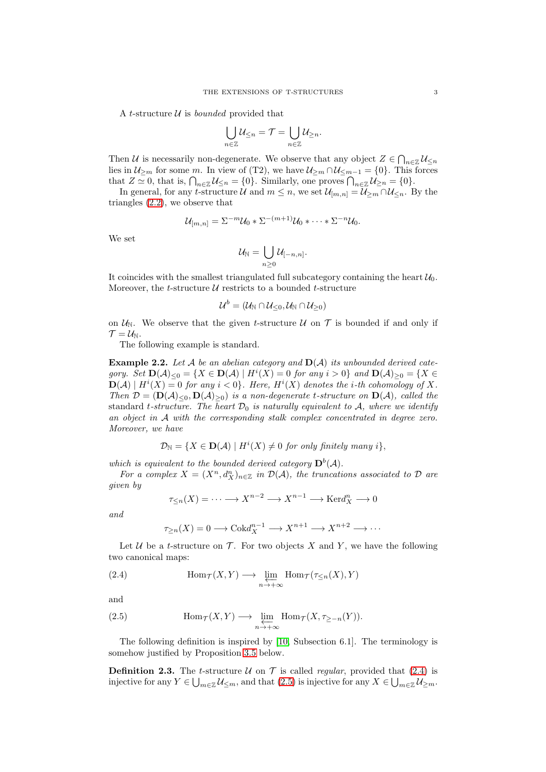A t-structure  $U$  is *bounded* provided that

$$
\bigcup_{n\in\mathbb{Z}}\mathcal{U}_{\leq n}=\mathcal{T}=\bigcup_{n\in\mathbb{Z}}\mathcal{U}_{\geq n}.
$$

Then U is necessarily non-degenerate. We observe that any object  $Z \in \bigcap_{n \in \mathbb{Z}} \mathcal{U}_{\leq n}$ lies in  $\mathcal{U}_{\geq m}$  for some m. In view of (T2), we have  $\mathcal{U}_{\geq m} \cap \mathcal{U}_{\leq m-1} = \{0\}$ . This forces that  $Z \simeq 0$ , that is,  $\bigcap_{n \in \mathbb{Z}} \mathcal{U}_{\leq n} = \{0\}$ . Similarly, one proves  $\bigcap_{n \in \mathbb{Z}} \mathcal{U}_{\geq n} = \{0\}$ .

In general, for any t-structure U and  $m \leq n$ , we set  $\mathcal{U}_{[m,n]} = \mathcal{U}_{\geq m} \cap \mathcal{U}_{\leq n}$ . By the triangles [\(2.2\)](#page-1-0), we observe that

$$
\mathcal{U}_{[m,n]} = \Sigma^{-m} \mathcal{U}_0 * \Sigma^{-(m+1)} \mathcal{U}_0 * \cdots * \Sigma^{-n} \mathcal{U}_0.
$$

We set

$$
\mathcal{U}_{\mathbb{N}}=\bigcup_{n\geq 0}\mathcal{U}_{[-n,n]}.
$$

It coincides with the smallest triangulated full subcategory containing the heart  $\mathcal{U}_0$ . Moreover, the *t*-structure  $U$  restricts to a bounded *t*-structure

$$
\mathcal{U}^b=(\mathcal{U}_{\mathbb{N}}\cap\mathcal{U}_{\leq 0},\mathcal{U}_{\mathbb{N}}\cap\mathcal{U}_{\geq 0})
$$

on  $\mathcal{U}_{\mathbb{N}}$ . We observe that the given *t*-structure  $\mathcal U$  on  $\mathcal T$  is bounded if and only if  $\mathcal{T} = \mathcal{U}_{\mathbb{N}}$ .

The following example is standard.

<span id="page-2-3"></span>Example 2.2. *Let* A *be an abelian category and* D(A) *its unbounded derived category.* Set  $\mathbf{D}(\mathcal{A})_{\leq 0} = \{ X \in \mathbf{D}(\mathcal{A}) \mid H^i(X) = 0 \text{ for any } i > 0 \}$  and  $\mathbf{D}(\mathcal{A})_{\geq 0} = \{ X \in \mathcal{A} \mid H^i(X) = 0 \text{ for any } i > 0 \}$  $\mathbf{D}(\mathcal{A}) | H^{i}(X) = 0$  for any  $i < 0$ . Here,  $H^{i}(X)$  denotes the *i*-th cohomology of X. *Then*  $\mathcal{D} = (\mathbf{D}(\mathcal{A})_{\leq 0}, \mathbf{D}(\mathcal{A})_{\geq 0})$  *is a non-degenerate t-structure on*  $\mathbf{D}(\mathcal{A})$ *, called the* standard t-structure. The heart  $\mathcal{D}_0$  is naturally equivalent to  $\mathcal{A}$ , where we identify *an object in* A *with the corresponding stalk complex concentrated in degree zero. Moreover, we have*

$$
\mathcal{D}_{\mathbb{N}} = \{ X \in \mathbf{D}(\mathcal{A}) \mid H^{i}(X) \neq 0 \text{ for only finitely many } i \},
$$

which is equivalent to the bounded derived category  $\mathbf{D}^b(\mathcal{A})$ .

*For a complex*  $X = (X^n, d_X^n)_{n \in \mathbb{Z}}$  *in*  $\mathcal{D}(\mathcal{A})$ *, the truncations associated to*  $\mathcal{D}$  *are given by*

$$
\tau_{\leq n}(X) = \cdots \longrightarrow X^{n-2} \longrightarrow X^{n-1} \longrightarrow \text{Ker}d_X^n \longrightarrow 0
$$

*and*

$$
\tau_{\geq n}(X) = 0 \longrightarrow \mathrm{Cok}d_X^{n-1} \longrightarrow X^{n+1} \longrightarrow X^{n+2} \longrightarrow \cdots
$$

Let  $U$  be a t-structure on  $T$ . For two objects X and Y, we have the following two canonical maps:

<span id="page-2-1"></span>(2.4) 
$$
\text{Hom}_{\mathcal{T}}(X,Y) \longrightarrow \varprojlim_{n \to +\infty} \text{Hom}_{\mathcal{T}}(\tau_{\leq n}(X),Y)
$$

and

<span id="page-2-2"></span>(2.5) 
$$
\operatorname{Hom}_{\mathcal{T}}(X,Y) \longrightarrow \varprojlim_{n \to +\infty} \operatorname{Hom}_{\mathcal{T}}(X,\tau_{\geq -n}(Y)).
$$

The following definition is inspired by [\[10,](#page-13-1) Subsection 6.1]. The terminology is somehow justified by Proposition [3.5](#page-5-0) below.

<span id="page-2-0"></span>**Definition 2.3.** The t-structure  $U$  on  $\mathcal T$  is called *regular*, provided that [\(2.4\)](#page-2-1) is injective for any  $Y \in \bigcup_{m \in \mathbb{Z}} \mathcal{U}_{\leq m}$ , and that  $(2.5)$  is injective for any  $X \in \bigcup_{m \in \mathbb{Z}} \mathcal{U}_{\geq m}$ .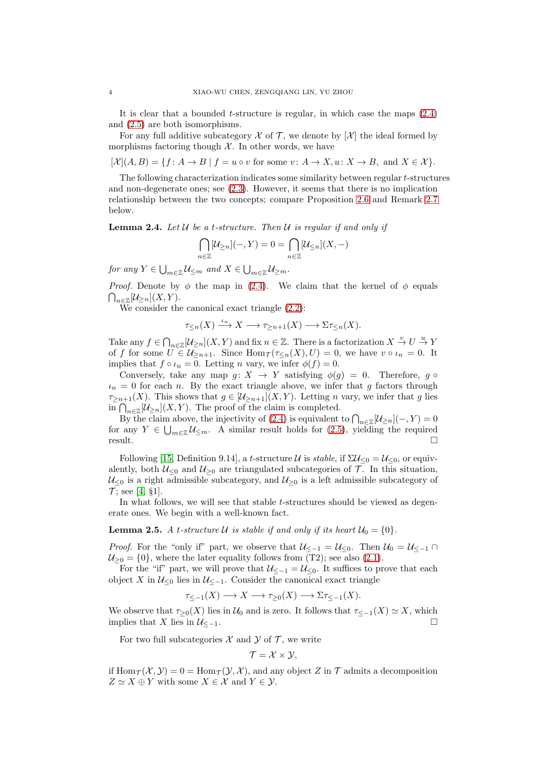It is clear that a bounded  $t$ -structure is regular, in which case the maps  $(2.4)$ and [\(2.5\)](#page-2-2) are both isomorphisms.

For any full additive subcategory  $\mathcal X$  of  $\mathcal T$ , we denote by  $[\mathcal X]$  the ideal formed by morphisms factoring though  $\mathcal X$ . In other words, we have

 $[\mathcal{X}](A, B) = \{f: A \to B \mid f = u \circ v \text{ for some } v: A \to X, u: X \to B, \text{ and } X \in \mathcal{X}\}.$ 

The following characterization indicates some similarity between regular t-structures and non-degenerate ones; see [\(2.3\)](#page-1-1). However, it seems that there is no implication relationship between the two concepts; compare Proposition [2.6](#page-4-0) and Remark [2.7](#page-4-1) below.

<span id="page-3-0"></span>Lemma 2.4. *Let* U *be a* t*-structure. Then* U *is regular if and only if*

$$
\bigcap_{n\in\mathbb{Z}}[\mathcal{U}_{\geq n}](-,Y)=0=\bigcap_{n\in\mathbb{Z}}[\mathcal{U}_{\leq n}](X,-)
$$

for any  $Y \in \bigcup_{m \in \mathbb{Z}} \mathcal{U}_{\leq m}$  and  $X \in \bigcup_{m \in \mathbb{Z}} \mathcal{U}_{\geq m}$ .

*Proof.* Denote by  $\phi$  the map in [\(2.4\)](#page-2-1). We claim that the kernel of  $\phi$  equals  $\bigcap_{n\in\mathbb{Z}}[\mathcal{U}_{\geq n}](X,Y).$ 

We consider the canonical exact triangle [\(2.2\)](#page-1-0):

$$
\tau_{\leq n}(X) \xrightarrow{\iota_n} X \longrightarrow \tau_{\geq n+1}(X) \longrightarrow \Sigma \tau_{\leq n}(X).
$$

Take any  $f \in \bigcap_{n \in \mathbb{Z}} [\mathcal{U}_{\geq n}](X, Y)$  and fix  $n \in \mathbb{Z}$ . There is a factorization  $X \stackrel{v}{\to} U \stackrel{u}{\to} Y$ of f for some  $U \in \mathcal{U}_{\geq n+1}$ . Since  $\text{Hom}_{\mathcal{T}}(\tau_{\leq n}(X), U) = 0$ , we have  $v \circ \iota_n = 0$ . It implies that  $f \circ \iota_n = 0$ . Letting n vary, we infer  $\phi(f) = 0$ .

Conversely, take any map  $g: X \to Y$  satisfying  $\phi(g) = 0$ . Therefore, g  $\circ$  $\iota_n = 0$  for each n. By the exact triangle above, we infer that g factors through  $\tau_{\geq n+1}(X)$ . This shows that  $g \in [\mathcal{U}_{\geq n+1}](X, Y)$ . Letting n vary, we infer that g lies in  $\bigcap_{n\in\mathbb{Z}}[\mathcal{U}_{\geq n}](X,Y)$ . The proof of the claim is completed.

By the claim above, the injectivity of [\(2.4\)](#page-2-1) is equivalent to  $\bigcap_{n\in\mathbb{Z}}[\mathcal{U}_{\geq n}](-,Y)=0$ for any  $Y \in \bigcup_{m \in \mathbb{Z}} \mathcal{U}_{\leq m}$ . A similar result holds for  $(2.5)$ , yielding the required  $result.$   $\Box$ 

Following [\[15,](#page-13-4) Definition 9.14], a t-structure U is *stable*, if  $\Sigma \mathcal{U}_{\leq 0} = \mathcal{U}_{\leq 0}$ , or equivalently, both  $\mathcal{U}_{\leq 0}$  and  $\mathcal{U}_{\geq 0}$  are triangulated subcategories of  $\mathcal{T}$ . In this situation,  $U_{\leq 0}$  is a right admissible subcategory, and  $U_{\geq 0}$  is a left admissible subcategory of  $\mathcal{T}$ ; see [\[4,](#page-13-5) §1].

In what follows, we will see that stable t-structures should be viewed as degenerate ones. We begin with a well-known fact.

**Lemma 2.5.** A *t*-structure U is stable if and only if its heart  $U_0 = \{0\}$ .

*Proof.* For the "only if" part, we observe that  $\mathcal{U}_{\leq -1} = \mathcal{U}_{\leq 0}$ . Then  $\mathcal{U}_0 = \mathcal{U}_{\leq -1} \cap$  $U_{\geq 0} = \{0\}$ , where the later equality follows from (T2); see also [\(2.1\)](#page-1-2).

For the "if" part, we will prove that  $\mathcal{U}_{\leq -1} = \mathcal{U}_{\leq 0}$ . It suffices to prove that each object X in  $\mathcal{U}_{\leq 0}$  lies in  $\mathcal{U}_{\leq -1}$ . Consider the canonical exact triangle

$$
\tau_{\leq -1}(X) \longrightarrow X \longrightarrow \tau_{\geq 0}(X) \longrightarrow \Sigma \tau_{\leq -1}(X).
$$

We observe that  $\tau_{\geq 0}(X)$  lies in  $\mathcal{U}_0$  and is zero. It follows that  $\tau_{\leq -1}(X) \simeq X$ , which implies that X lies in  $\mathcal{U}_{\leq -1}$ .

For two full subcategories  $X$  and  $Y$  of  $T$ , we write

$$
\mathcal{T}=\mathcal{X}\times\mathcal{Y},
$$

if  $\text{Hom}_{\mathcal{T}}(\mathcal{X}, \mathcal{Y}) = 0 = \text{Hom}_{\mathcal{T}}(\mathcal{Y}, \mathcal{X})$ , and any object Z in T admits a decomposition  $Z \simeq X \oplus Y$  with some  $X \in \mathcal{X}$  and  $Y \in \mathcal{Y}$ .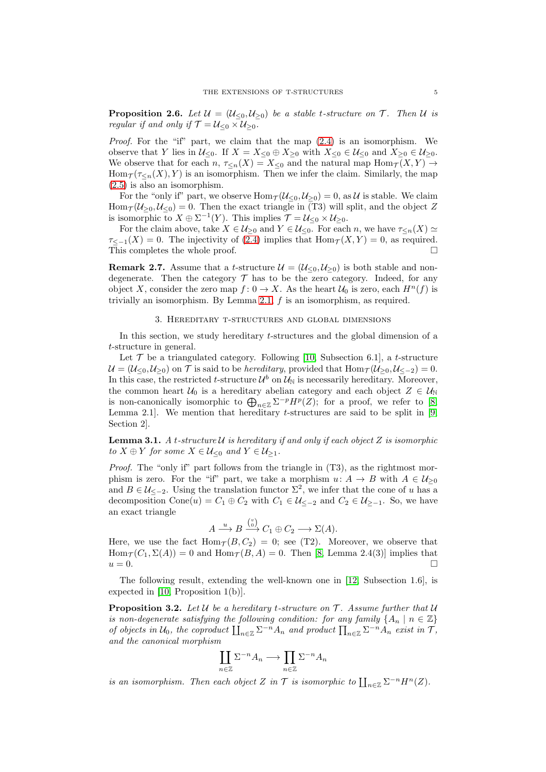<span id="page-4-0"></span>**Proposition 2.6.** Let  $\mathcal{U} = (\mathcal{U}_{\leq 0}, \mathcal{U}_{\geq 0})$  be a stable t-structure on  $\mathcal{T}$ . Then  $\mathcal{U}$  is *regular if and only if*  $\mathcal{T} = \mathcal{U}_{\leq 0} \times \mathcal{U}_{\geq 0}$ *.* 

*Proof.* For the "if" part, we claim that the map [\(2.4\)](#page-2-1) is an isomorphism. We observe that Y lies in  $\mathcal{U}_{\leq 0}$ . If  $X = X_{\leq 0} \oplus X_{\geq 0}$  with  $X_{\leq 0} \in \mathcal{U}_{\leq 0}$  and  $X_{\geq 0} \in \mathcal{U}_{\geq 0}$ . We observe that for each  $n, \tau \leq_n(X) = X_{\leq 0}$  and the natural map  $\text{Hom}_{\mathcal{T}}(X, Y) \to$  $\text{Hom}_{\mathcal{T}}(\tau_{\leq n}(X), Y)$  is an isomorphism. Then we infer the claim. Similarly, the map [\(2.5\)](#page-2-2) is also an isomorphism.

For the "only if" part, we observe  $\text{Hom}_{\mathcal{T}}(\mathcal{U}_{\leq 0}, \mathcal{U}_{\geq 0}) = 0$ , as  $\mathcal{U}$  is stable. We claim  $\text{Hom}_{\mathcal{T}}(\mathcal{U}_{\geq 0}, \mathcal{U}_{\leq 0}) = 0.$  Then the exact triangle in (T3) will split, and the object Z is isomorphic to  $X \oplus \Sigma^{-1}(Y)$ . This implies  $\mathcal{T} = \mathcal{U}_{\leq 0} \times \mathcal{U}_{\geq 0}$ .

For the claim above, take  $X \in \mathcal{U}_{\geq 0}$  and  $Y \in \mathcal{U}_{\leq 0}$ . For each n, we have  $\tau_{\leq n}(X) \simeq$  $\tau_{\leq -1}(X) = 0$ . The injectivity of [\(2.4\)](#page-2-1) implies that  $\text{Hom}_{\mathcal{T}}(X, Y) = 0$ , as required. This completes the whole proof.

<span id="page-4-1"></span>**Remark 2.7.** Assume that a *t*-structure  $\mathcal{U} = (\mathcal{U}_{\leq 0}, \mathcal{U}_{\geq 0})$  is both stable and nondegenerate. Then the category  $\mathcal T$  has to be the zero category. Indeed, for any object X, consider the zero map  $f: 0 \to X$ . As the heart  $\mathcal{U}_0$  is zero, each  $H^n(f)$  is trivially an isomorphism. By Lemma [2.1,](#page-1-3)  $f$  is an isomorphism, as required.

## 3. Hereditary t-structures and global dimensions

In this section, we study hereditary t-structures and the global dimension of a t-structure in general.

Let  $\mathcal T$  be a triangulated category. Following [\[10,](#page-13-1) Subsection 6.1], a t-structure  $\mathcal{U} = (\mathcal{U}_{\leq 0}, \mathcal{U}_{\geq 0})$  on  $\mathcal T$  is said to be *hereditary*, provided that  $\text{Hom}_{\mathcal T}(\mathcal{U}_{\geq 0}, \mathcal{U}_{\leq -2}) = 0$ . In this case, the restricted t-structure  $\mathcal{U}^b$  on  $\mathcal{U}_\mathbb{N}$  is necessarily hereditary. Moreover, the common heart  $U_0$  is a hereditary abelian category and each object  $Z \in U_N$ is non-canonically isomorphic to  $\bigoplus_{n\in\mathbb{Z}}\Sigma^{-p}H^p(Z)$ ; for a proof, we refer to [\[8,](#page-13-6) Lemma 2.1. We mention that hereditary t-structures are said to be split in  $[9,$ Section 2].

Lemma 3.1. *A* t*-structure* U *is hereditary if and only if each object* Z *is isomorphic*  $to X \oplus Y$  *for some*  $X \in \mathcal{U}_{\leq 0}$  *and*  $Y \in \mathcal{U}_{\geq 1}$ *.* 

*Proof.* The "only if" part follows from the triangle in  $(T3)$ , as the rightmost morphism is zero. For the "if" part, we take a morphism  $u: A \to B$  with  $A \in \mathcal{U}_{\geq 0}$ and  $B \in \mathcal{U}_{\leq -2}$ . Using the translation functor  $\Sigma^2$ , we infer that the cone of u has a decomposition Cone $(u) = C_1 \oplus C_2$  with  $C_1 \in \mathcal{U}_{\leq -2}$  and  $C_2 \in \mathcal{U}_{\geq -1}$ . So, we have an exact triangle

$$
A \xrightarrow{u} B \xrightarrow{\binom{v}{0}} C_1 \oplus C_2 \longrightarrow \Sigma(A).
$$

Here, we use the fact  $\text{Hom}_{\mathcal{T}}(B, C_2) = 0$ ; see (T2). Moreover, we observe that  $\text{Hom}_{\mathcal{T}}(C_1, \Sigma(A)) = 0$  and  $\text{Hom}_{\mathcal{T}}(B, A) = 0$ . Then [\[8,](#page-13-6) Lemma 2.4(3)] implies that  $u = 0.$ 

The following result, extending the well-known one in [\[12,](#page-13-8) Subsection 1.6], is expected in [\[10,](#page-13-1) Proposition 1(b)].

<span id="page-4-2"></span>Proposition 3.2. *Let* U *be a hereditary* t*-structure on* T *. Assume further that* U *is non-degenerate satisfying the following condition: for any family*  $\{A_n \mid n \in \mathbb{Z}\}\$ *of objects in*  $U_0$ *, the coproduct*  $\prod_{n\in\mathbb{Z}}\Sigma^{-n}A_n$  *and product*  $\prod_{n\in\mathbb{Z}}\Sigma^{-n}A_n$  *exist in*  $\mathcal{T}$ *, and the canonical morphism*

$$
\coprod_{n\in\mathbb{Z}}\Sigma^{-n}A_n\longrightarrow\prod_{n\in\mathbb{Z}}\Sigma^{-n}A_n
$$

*is an isomorphism. Then each object* Z *in* T *is isomorphic to*  $\prod_{n\in\mathbb{Z}} \Sigma^{-n}H^n(Z)$ *.*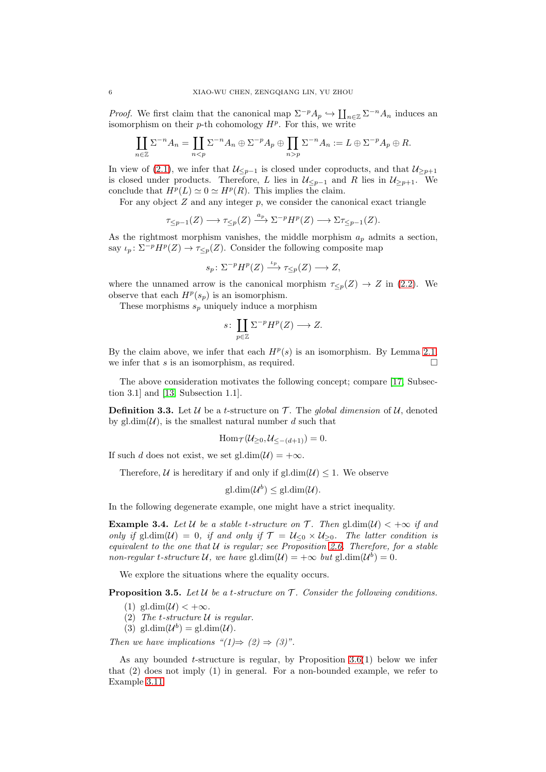*Proof.* We first claim that the canonical map  $\Sigma^{-p} A_p \hookrightarrow \coprod_{n \in \mathbb{Z}} \Sigma^{-n} A_n$  induces an isomorphism on their  $p$ -th cohomology  $H^p$ . For this, we write

$$
\coprod_{n\in\mathbb{Z}}\Sigma^{-n}A_n=\coprod_{np}\Sigma^{-n}A_n:=L\oplus\Sigma^{-p}A_p\oplus R.
$$

In view of [\(2.1\)](#page-1-2), we infer that  $\mathcal{U}_{\leq p-1}$  is closed under coproducts, and that  $\mathcal{U}_{\geq p+1}$ is closed under products. Therefore, L lies in  $\mathcal{U}_{\leq p-1}$  and R lies in  $\mathcal{U}_{\geq p+1}$ . We conclude that  $H^p(L) \simeq 0 \simeq H^p(R)$ . This implies the claim.

For any object  $Z$  and any integer  $p$ , we consider the canonical exact triangle

$$
\tau_{\leq p-1}(Z) \longrightarrow \tau_{\leq p}(Z) \xrightarrow{a_p} \Sigma^{-p} H^p(Z) \longrightarrow \Sigma \tau_{\leq p-1}(Z).
$$

As the rightmost morphism vanishes, the middle morphism  $a_p$  admits a section, say  $\iota_p: \Sigma^{-p}H^p(Z) \to \tau_{\leq p}(Z)$ . Consider the following composite map

$$
s_p \colon \Sigma^{-p} H^p(Z) \xrightarrow{\iota_p} \tau_{\leq p}(Z) \longrightarrow Z,
$$

where the unnamed arrow is the canonical morphism  $\tau_{\leq p}(Z) \to Z$  in [\(2.2\)](#page-1-0). We observe that each  $H^p(s_p)$  is an isomorphism.

These morphisms  $s_p$  uniquely induce a morphism

$$
s\colon \coprod_{p\in\mathbb{Z}} \Sigma^{-p}H^p(Z) \longrightarrow Z.
$$

By the claim above, we infer that each  $H^p(s)$  is an isomorphism. By Lemma [2.1,](#page-1-3) we infer that s is an isomorphism, as required.  $\square$ 

The above consideration motivates the following concept; compare [\[17,](#page-13-9) Subsection 3.1] and [\[13,](#page-13-10) Subsection 1.1].

**Definition 3.3.** Let  $U$  be a *t*-structure on  $T$ . The *global dimension* of  $U$ , denoted by gl.dim( $\mathcal{U}$ ), is the smallest natural number d such that

$$
\operatorname{Hom}\nolimits_{\mathcal T}(\mathcal U_{\geq 0}, \mathcal U_{\leq -(d+1)})=0.
$$

If such d does not exist, we set gl.dim $(\mathcal{U}) = +\infty$ .

Therefore, U is hereditary if and only if gl. $dim(\mathcal{U}) \leq 1$ . We observe

$$
\mathrm{gl.dim}(\mathcal{U}^b) \leq \mathrm{gl.dim}(\mathcal{U}).
$$

In the following degenerate example, one might have a strict inequality.

<span id="page-5-1"></span>**Example 3.4.** Let U be a stable t-structure on T. Then gl. $\dim(U) < +\infty$  if and *only if* gl.dim( $U$ ) = 0*, if and only if*  $T = U_{\leq 0} \times U_{\geq 0}$ *. The latter condition is equivalent to the one that* U *is regular; see Proposition [2.6.](#page-4-0) Therefore, for a stable non-regular*  $t$ -structure  $\mathcal{U}$ , we have  $\text{gl.dim}(\mathcal{U}) = +\infty$  but  $\text{gl.dim}(\mathcal{U}^b) = 0$ .

We explore the situations where the equality occurs.

<span id="page-5-0"></span>Proposition 3.5. *Let* U *be a* t*-structure on* T *. Consider the following conditions.*

- (1) gl.dim $(\mathcal{U}) < +\infty$ .
- (2) *The* t*-structure* U *is regular.*
- (3) gl.dim $(\mathcal{U}^b) = \text{gl.dim}(\mathcal{U})$ .

*Then we have implications "(1)* $\Rightarrow$  (2)  $\Rightarrow$  (3)".

As any bounded  $t$ -structure is regular, by Proposition [3.6\(](#page-6-0)1) below we infer that (2) does not imply (1) in general. For a non-bounded example, we refer to Example [3.11.](#page-7-0)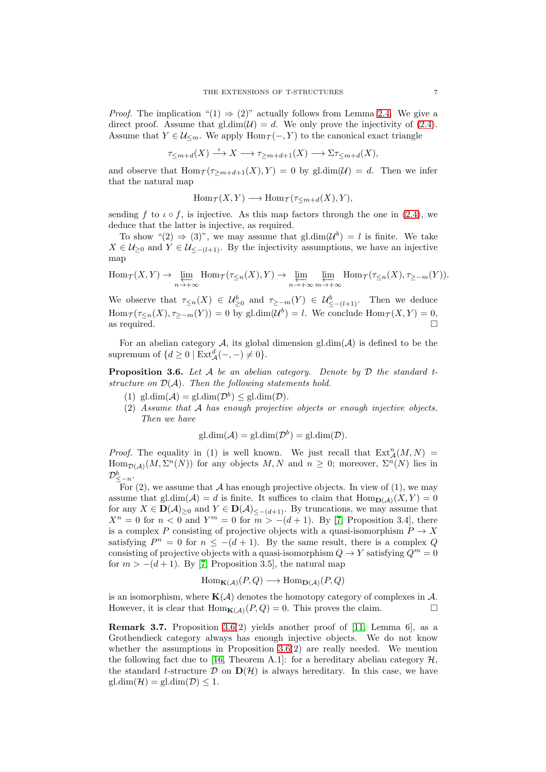*Proof.* The implication " $(1) \Rightarrow (2)$ " actually follows from Lemma [2.4.](#page-3-0) We give a direct proof. Assume that  $\text{gl.dim}(\mathcal{U})=d$ . We only prove the injectivity of [\(2.4\)](#page-2-1). Assume that  $Y \in \mathcal{U}_{\leq m}$ . We apply  $\text{Hom}_{\mathcal{T}}(-, Y)$  to the canonical exact triangle

$$
\tau_{\leq m+d}(X)\stackrel{\iota}{\longrightarrow} X \longrightarrow \tau_{\geq m+d+1}(X) \longrightarrow \Sigma \tau_{\leq m+d}(X),
$$

and observe that  $\text{Hom}_{\mathcal{T}}(\tau_{\geq m+d+1}(X), Y) = 0$  by gl.dim( $\mathcal{U}$ ) = d. Then we infer that the natural map

$$
Hom_{\mathcal{T}}(X,Y) \longrightarrow Hom_{\mathcal{T}}(\tau_{\leq m+d}(X),Y),
$$

sending f to  $\iota \circ f$ , is injective. As this map factors through the one in [\(2.4\)](#page-2-1), we deduce that the latter is injective, as required.

To show " $(2) \Rightarrow (3)$ ", we may assume that gl.dim $(\mathcal{U}^b) = l$  is finite. We take  $X \in \mathcal{U}_{\geq 0}$  and  $Y \in \mathcal{U}_{\leq -(\ell+1)}$ . By the injectivity assumptions, we have an injective map

 $\text{Hom}_{\mathcal{T}}(X, Y) \to \varprojlim_{n \to +\infty} \text{Hom}_{\mathcal{T}}(\tau_{\leq n}(X), Y) \to \varprojlim_{n \to +\infty} \varprojlim_{m \to +\infty} \text{Hom}_{\mathcal{T}}(\tau_{\leq n}(X), \tau_{\geq -m}(Y)).$ 

We observe that  $\tau_{\leq n}(X) \in \mathcal{U}^b_{\geq 0}$  and  $\tau_{\geq -m}(Y) \in \mathcal{U}^b_{\leq -(l+1)}$ . Then we deduce  $\text{Hom}_{\mathcal{T}}(\tau_{\leq n}(X), \tau_{\geq -m}(Y)) = 0$  by gl.dim $(\mathcal{U}^b) = l$ . We conclude  $\text{Hom}_{\mathcal{T}}(X, Y) = 0$ , as required.  $\Box$ 

For an abelian category  $A$ , its global dimension gl.dim $(A)$  is defined to be the supremum of  $\{d \geq 0 \mid \text{Ext}^d_{\mathcal{A}}(-,-) \neq 0\}.$ 

<span id="page-6-0"></span>Proposition 3.6. *Let* A *be an abelian category. Denote by* D *the standard tstructure on* D(A)*. Then the following statements hold.*

- (1)  $\text{gl.dim}(\mathcal{A}) = \text{gl.dim}(\mathcal{D}^b) \leq \text{gl.dim}(\mathcal{D}).$
- (2) *Assume that* A *has enough projective objects or enough injective objects. Then we have*

$$
gl.dim(\mathcal{A}) = gl.dim(\mathcal{D}^b) = gl.dim(\mathcal{D}).
$$

*Proof.* The equality in (1) is well known. We just recall that  $Ext_A^n(M, N) =$  $\text{Hom}_{\mathcal{D}(\mathcal{A})}(M,\Sigma^n(N))$  for any objects  $M, N$  and  $n \geq 0$ ; moreover,  $\Sigma^n(N)$  lies in  $\mathcal{D}^b_{\leq -n}.$ 

For  $(2)$ , we assume that A has enough projective objects. In view of  $(1)$ , we may assume that  $gl.dim(\mathcal{A}) = d$  is finite. It suffices to claim that  $Hom_{D(\mathcal{A})}(X, Y) = 0$ for any  $X \in \mathbf{D}(\mathcal{A})_{\geq 0}$  and  $Y \in \mathbf{D}(\mathcal{A})_{\leq -(d+1)}$ . By truncations, we may assume that  $X^n = 0$  for  $n < 0$  and  $Y^m = 0$  for  $m > -(d+1)$ . By [\[7,](#page-13-11) Proposition 3.4], there is a complex P consisting of projective objects with a quasi-isomorphism  $P \to X$ satisfying  $P^n = 0$  for  $n \le -(d+1)$ . By the same result, there is a complex Q consisting of projective objects with a quasi-isomorphism  $Q \to Y$  satisfying  $Q^m = 0$ for  $m > -(d+1)$ . By [\[7,](#page-13-11) Proposition 3.5], the natural map

$$
Hom_{\mathbf{K}(\mathcal{A})}(P,Q) \longrightarrow Hom_{\mathbf{D}(\mathcal{A})}(P,Q)
$$

is an isomorphism, where  $K(\mathcal{A})$  denotes the homotopy category of complexes in  $\mathcal{A}$ . However, it is clear that  $\text{Hom}_{\mathbf{K}(A)}(P,Q) = 0$ . This proves the claim.

**Remark 3.7.** Proposition [3.6\(](#page-6-0)2) yields another proof of [\[11,](#page-13-12) Lemma 6], as a Grothendieck category always has enough injective objects. We do not know whether the assumptions in Proposition  $3.6(2)$  are really needed. We mention the following fact due to [\[16,](#page-13-13) Theorem A.1]: for a hereditary abelian category  $\mathcal{H}$ , the standard t-structure D on  $\mathbf{D}(\mathcal{H})$  is always hereditary. In this case, we have  $gl.dim(\mathcal{H}) = gl.dim(\mathcal{D}) \leq 1.$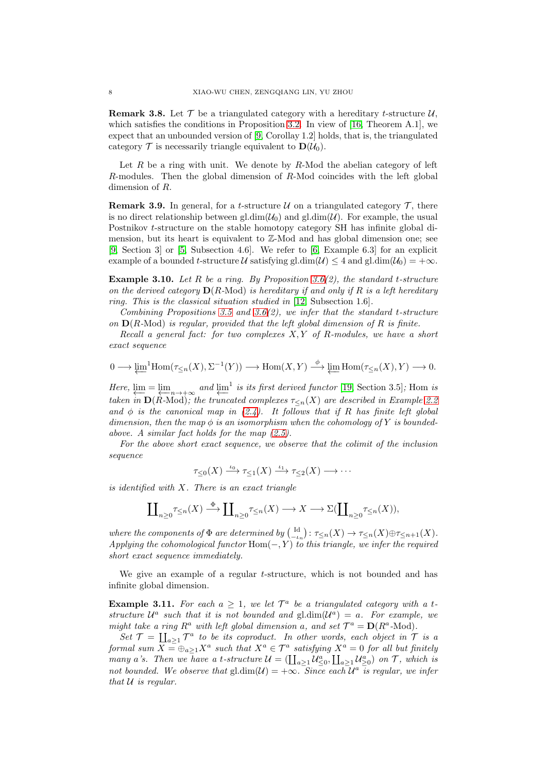<span id="page-7-1"></span>**Remark 3.8.** Let  $\mathcal{T}$  be a triangulated category with a hereditary *t*-structure  $\mathcal{U}$ , which satisfies the conditions in Proposition [3.2.](#page-4-2) In view of [\[16,](#page-13-13) Theorem A.1], we expect that an unbounded version of [\[9,](#page-13-7) Corollay 1.2] holds, that is, the triangulated category  $\mathcal T$  is necessarily triangle equivalent to  $\mathbf{D}(\mathcal U_0)$ .

Let  $R$  be a ring with unit. We denote by  $R$ -Mod the abelian category of left R-modules. Then the global dimension of R-Mod coincides with the left global dimension of R.

**Remark 3.9.** In general, for a *t*-structure  $U$  on a triangulated category  $\mathcal{T}$ , there is no direct relationship between gl.dim( $\mathcal{U}_0$ ) and gl.dim( $\mathcal{U}$ ). For example, the usual Postnikov t-structure on the stable homotopy category SH has infinite global dimension, but its heart is equivalent to Z-Mod and has global dimension one; see [\[9,](#page-13-7) Section 3] or [\[5,](#page-13-14) Subsection 4.6]. We refer to [\[6,](#page-13-15) Example 6.3] for an explicit example of a bounded t-structure U satisfying gl.dim( $\mathcal{U}$ )  $\leq$  4 and gl.dim( $\mathcal{U}_0$ ) = + $\infty$ .

Example 3.10. *Let* R *be a ring. By Proposition [3.6\(](#page-6-0)2), the standard* t*-structure on the derived category* D(R*-*Mod) *is hereditary if and only if* R *is a left hereditary ring. This is the classical situation studied in* [\[12,](#page-13-8) Subsection 1.6]*.*

*Combining Propositions [3.5](#page-5-0) and [3.6\(](#page-6-0)2), we infer that the standard* t*-structure on* D(R*-*Mod) *is regular, provided that the left global dimension of* R *is finite.*

*Recall a general fact: for two complexes* X, Y *of* R*-modules, we have a short exact sequence*

$$
0 \longrightarrow \underleftarrow{\lim}^1 \text{Hom}(\tau_{\leq n}(X), \Sigma^{-1}(Y)) \longrightarrow \text{Hom}(X, Y) \stackrel{\phi}{\longrightarrow} \underleftarrow{\lim} \text{Hom}(\tau_{\leq n}(X), Y) \longrightarrow 0.
$$

*Here,*  $\lim_{n \to \infty} \lim_{n \to \infty}$  *and*  $\lim_{n \to \infty} i$  *is its first derived functor* [\[19,](#page-13-16) Section 3.5]*;* Hom *is taken in*  $\mathbf{D}(R\text{-Mod})$ *; the truncated complexes*  $\tau_{\leq n}(X)$  *are described in Example* [2.2](#page-2-3) and  $\phi$  *is the canonical map in*  $(2.4)$ *. It follows that if* R *has finite left global dimension, then the map*  $\phi$  *is an isomorphism when the cohomology of* Y *is boundedabove. A similar fact holds for the map [\(2.5\)](#page-2-2).*

*For the above short exact sequence, we observe that the colimit of the inclusion sequence*

$$
\tau_{\leq 0}(X) \xrightarrow{\iota_0} \tau_{\leq 1}(X) \xrightarrow{\iota_1} \tau_{\leq 2}(X) \longrightarrow \cdots
$$

*is identified with* X*. There is an exact triangle*

$$
\coprod\nolimits_{n\geq 0}\tau_{\leq n}(X)\stackrel{\Phi}{\longrightarrow}\coprod\nolimits_{n\geq 0}\tau_{\leq n}(X)\longrightarrow X\longrightarrow \Sigma(\coprod\nolimits_{n\geq 0}\tau_{\leq n}(X)),
$$

*where the components of*  $\Phi$  *are determined by*  $\left(\begin{matrix} \mathrm{Id} \\ -\iota_n \end{matrix}\right)$ :  $\tau_{\leq n}(X) \to \tau_{\leq n}(X) \oplus \tau_{\leq n+1}(X)$ . *Applying the cohomological functor* Hom(−, Y) *to this triangle, we infer the required short exact sequence immediately.*

We give an example of a regular *t*-structure, which is not bounded and has infinite global dimension.

<span id="page-7-0"></span>**Example 3.11.** For each  $a \geq 1$ , we let  $\mathcal{T}^a$  be a triangulated category with a tstructure  $\mathcal{U}^a$  such that it is not bounded and gl.dim $(\mathcal{U}^a) = a$ . For example, we *might take a ring*  $R^a$  *with left global dimension* a, and set  $\mathcal{T}^a = D(R^a \text{-Mod})$ *.* 

Set  $\mathcal{T} = \coprod_{a \geq 1} \mathcal{T}^a$  to be its coproduct. In other words, each object in  $\mathcal{T}$  is a *formal sum*  $X = \bigoplus_{a \geq 1} X^a$  *such that*  $X^a \in \mathcal{T}^a$  *satisfying*  $X^a = 0$  *for all but finitely many a*'s. Then we have a t-structure  $\mathcal{U} = (\coprod_{a \geq 1} \mathcal{U}_{\leq 0}^a, \coprod_{a \geq 1} \mathcal{U}_{\geq 0}^a)$  on  $\mathcal{T}$ , which is not bounded. We observe that  $\text{gl.dim}(\mathcal{U}) = +\infty$ . Since each  $\mathcal{U}^a$  is regular, we infer *that* U *is regular.*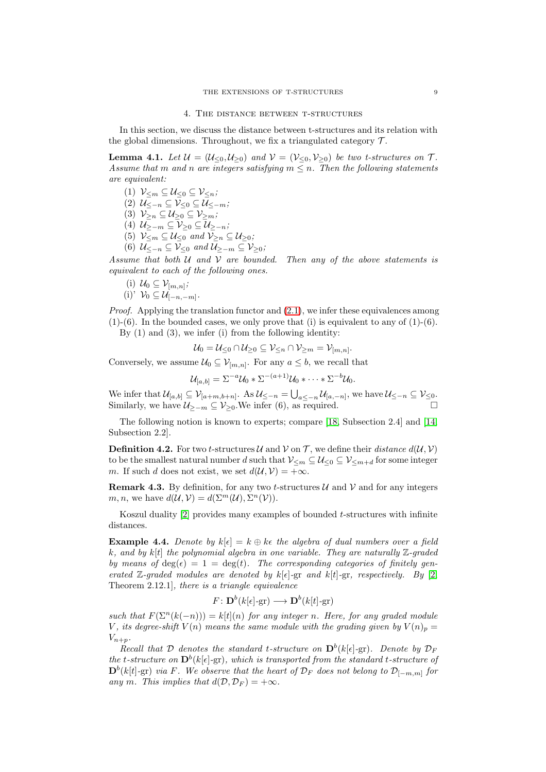In this section, we discuss the distance between t-structures and its relation with the global dimensions. Throughout, we fix a triangulated category  $\mathcal{T}$ .

<span id="page-8-0"></span>**Lemma 4.1.** Let  $\mathcal{U} = (\mathcal{U}_{\leq 0}, \mathcal{U}_{>0})$  and  $\mathcal{V} = (\mathcal{V}_{\leq 0}, \mathcal{V}_{>0})$  be two t-structures on  $\mathcal{T}$ . *Assume that* m and n are integers satisfying  $m \leq n$ . Then the following statements *are equivalent:*

- (1)  $\mathcal{V}_{\leq m} \subseteq \mathcal{U}_{\leq 0} \subseteq \mathcal{V}_{\leq n}$ ;
- (2) U≤−<sup>n</sup> ⊆ V<sup>≤</sup><sup>0</sup> ⊆ U≤−m*;*
- (3)  $\mathcal{V}_{\geq n} \subseteq \mathcal{U}_{\geq 0} \subseteq \mathcal{V}_{\geq m}$ ;
- (4) U≥−<sup>m</sup> ⊆ V<sup>≥</sup><sup>0</sup> ⊆ U≥−n*;*
- (5)  $\mathcal{V}_{\leq m} \subseteq \mathcal{U}_{\leq 0}$  and  $\mathcal{V}_{\geq n} \subseteq \mathcal{U}_{\geq 0}$ ;
- (6)  $\mathcal{U}_{\leq -n} \subseteq \mathcal{V}_{\leq 0}$  and  $\mathcal{U}_{\geq -m} \subseteq \mathcal{V}_{\geq 0}$ ;

*Assume that both* U *and* V *are bounded. Then any of the above statements is equivalent to each of the following ones.*

(i) 
$$
U_0 \subseteq V_{[m,n]}
$$
;  
(i)'  $V_0 \subseteq U_{[-n,-m]}$ .

*Proof.* Applying the translation functor and  $(2.1)$ , we infer these equivalences among  $(1)-(6)$ . In the bounded cases, we only prove that (i) is equivalent to any of  $(1)-(6)$ .

By  $(1)$  and  $(3)$ , we infer  $(i)$  from the following identity:

$$
\mathcal{U}_0 = \mathcal{U}_{\leq 0} \cap \mathcal{U}_{\geq 0} \subseteq \mathcal{V}_{\leq n} \cap \mathcal{V}_{\geq m} = \mathcal{V}_{[m,n]}.
$$

Conversely, we assume  $\mathcal{U}_0 \subseteq \mathcal{V}_{[m,n]}$ . For any  $a \leq b$ , we recall that

$$
\mathcal{U}_{[a,b]} = \Sigma^{-a} \mathcal{U}_0 * \Sigma^{-(a+1)} \mathcal{U}_0 * \cdots * \Sigma^{-b} \mathcal{U}_0.
$$

We infer that  $\mathcal{U}_{[a,b]} \subseteq \mathcal{V}_{[a+m,b+n]}$ . As  $\mathcal{U}_{\leq -n} = \bigcup_{a \leq -n} \mathcal{U}_{[a,-n]}$ , we have  $\mathcal{U}_{\leq -n} \subseteq \mathcal{V}_{\leq 0}$ . Similarly, we have  $\mathcal{U}_{\geq -m} \subseteq \mathcal{V}_{\geq 0}$ . We infer (6), as required.  $\Box$ 

The following notion is known to experts; compare [\[18,](#page-13-2) Subsection 2.4] and [\[14,](#page-13-3) Subsection 2.2].

**Definition 4.2.** For two *t*-structures  $\mathcal{U}$  and  $\mathcal{V}$  on  $\mathcal{T}$ , we define their *distance*  $d(\mathcal{U}, \mathcal{V})$ to be the smallest natural number d such that  $\mathcal{V}_{\leq m} \subseteq \mathcal{U}_{\leq 0} \subseteq \mathcal{V}_{\leq m+d}$  for some integer m. If such d does not exist, we set  $d(\mathcal{U}, \mathcal{V}) = +\infty$ .

**Remark 4.3.** By definition, for any two *t*-structures  $\mathcal{U}$  and  $\mathcal{V}$  and for any integers m, n, we have  $d(\mathcal{U}, \mathcal{V}) = d(\Sigma^m(\mathcal{U}), \Sigma^n(\mathcal{V})).$ 

Koszul duality  $[2]$  provides many examples of bounded t-structures with infinite distances.

**Example 4.4.** *Denote by*  $k[\epsilon] = k \oplus k\epsilon$  *the algebra of dual numbers over a field* k*, and by* k[t] *the polynomial algebra in one variable. They are naturally* Z*-graded by means of*  $deg(\epsilon) = 1 = deg(t)$ *. The corresponding categories of finitely generated* Z-graded modules are denoted by  $k[\epsilon]$ -gr and  $k[t]$ -gr, respectively. By [\[2,](#page-13-17) Theorem 2.12.1]*, there is a triangle equivalence*

$$
F: \mathbf{D}^b(k[\epsilon]\text{-}\mathrm{gr}) \longrightarrow \mathbf{D}^b(k[t]\text{-}\mathrm{gr})
$$

*such that*  $F(\Sigma^{n}(k(-n))) = k[t](n)$  *for any integer n. Here, for any graded module* V, its degree-shift  $V(n)$  means the same module with the grading given by  $V(n)_p =$  $V_{n+p}$ .

*Recall that*  $D$  *denotes the standard t-structure on*  $D^b(k[\epsilon]$ -gr)*. Denote by*  $D_F$ *the t*-structure on  $\mathbf{D}^b(k[\epsilon]-\text{gr})$ *, which is transported from the standard t-structure of*  $\mathbf{D}^b(k[t]-\text{gr})$  *via* F. We observe that the heart of  $\mathcal{D}_F$  does not belong to  $\mathcal{D}_{[-m,m]}$  for *any* m. This implies that  $d(D, D_F) = +\infty$ .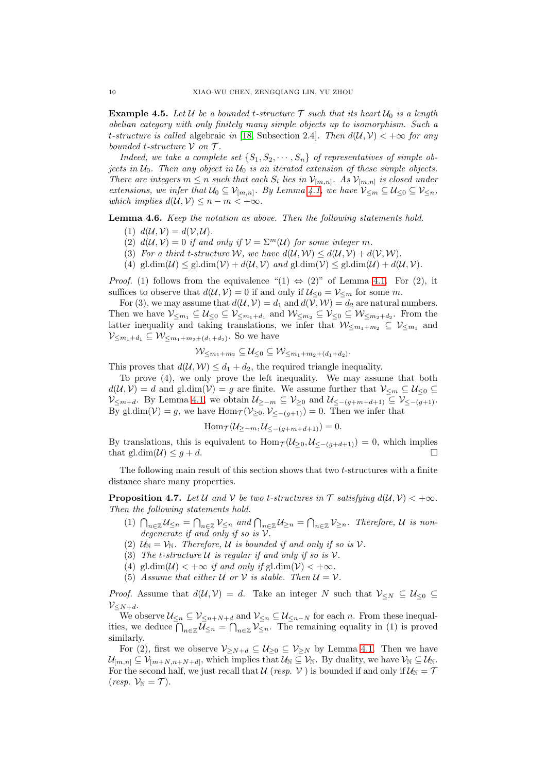<span id="page-9-2"></span>**Example 4.5.** Let U be a bounded t-structure  $\mathcal{T}$  such that its heart  $U_0$  is a length *abelian category with only finitely many simple objects up to isomorphism. Such a* t-structure is called algebraic in [\[18,](#page-13-2) Subsection 2.4]. Then  $d(U, V) < +\infty$  for any *bounded* t*-structure* V *on* T *.*

*Indeed, we take a complete set*  $\{S_1, S_2, \cdots, S_n\}$  *of representatives of simple objects in* U0*. Then any object in* U<sup>0</sup> *is an iterated extension of these simple objects. There are integers*  $m \leq n$  *such that each*  $S_i$  *lies in*  $\mathcal{V}_{[m,n]}$ *. As*  $\mathcal{V}_{[m,n]}$  *is closed under extensions, we infer that*  $U_0 \subseteq V_{[m,n]}$ *. By Lemma [4.1,](#page-8-0) we have*  $V_{\leq m} \subseteq U_{\leq 0} \subseteq V_{\leq n}$ *, which implies*  $d(\mathcal{U}, \mathcal{V}) \leq n - m < +\infty$ *.* 

<span id="page-9-1"></span>Lemma 4.6. *Keep the notation as above. Then the following statements hold.*

- (1)  $d(\mathcal{U}, \mathcal{V}) = d(\mathcal{V}, \mathcal{U}).$
- (2)  $d(\mathcal{U}, \mathcal{V}) = 0$  *if and only if*  $\mathcal{V} = \Sigma^m(\mathcal{U})$  *for some integer m.*
- (3) For a third t-structure W, we have  $d(U, W) \leq d(U, V) + d(V, W)$ .
- (4) gl.dim( $\mathcal{U}$ )  $\leq$  gl.dim( $\mathcal{V}$ ) +  $d(\mathcal{U}, \mathcal{V})$  and gl.dim( $\mathcal{V}$ )  $\leq$  gl.dim( $\mathcal{U}$ ) +  $d(\mathcal{U}, \mathcal{V})$ .

*Proof.* (1) follows from the equivalence " $(1) \Leftrightarrow (2)$ " of Lemma [4.1.](#page-8-0) For  $(2)$ , it suffices to observe that  $d(\mathcal{U}, \mathcal{V}) = 0$  if and only if  $\mathcal{U}_{\leq 0} = \mathcal{V}_{\leq m}$  for some m.

For (3), we may assume that  $d(\mathcal{U}, \mathcal{V}) = d_1$  and  $d(\mathcal{V}, \mathcal{W}) = d_2$  are natural numbers. Then we have  $\mathcal{V}_{\leq m_1} \subseteq \mathcal{U}_{\leq 0} \subseteq \mathcal{V}_{\leq m_1+d_1}$  and  $\mathcal{W}_{\leq m_2} \subseteq \mathcal{V}_{\leq 0} \subseteq \mathcal{W}_{\leq m_2+d_2}$ . From the latter inequality and taking translations, we infer that  $W_{\leq m_1+m_2} \subseteq V_{\leq m_1}$  and  $\mathcal{V}_{\leq m_1+d_1} \subseteq \mathcal{W}_{\leq m_1+m_2+(d_1+d_2)}$ . So we have

$$
\mathcal W_{\leq m_1+m_2}\subseteq \mathcal U_{\leq 0}\subseteq \mathcal W_{\leq m_1+m_2+(d_1+d_2)}.
$$

This proves that  $d(\mathcal{U}, \mathcal{W}) \leq d_1 + d_2$ , the required triangle inequality.

To prove (4), we only prove the left inequality. We may assume that both  $d(\mathcal{U}, \mathcal{V}) = d$  and gl.dim( $\mathcal{V}$ ) = g are finite. We assume further that  $\mathcal{V}_{\leq m} \subseteq \mathcal{U}_{\leq 0}$  $\mathcal{V}_{\leq m+d}$ . By Lemma [4.1,](#page-8-0) we obtain  $\mathcal{U}_{\geq -m} \subseteq \mathcal{V}_{\geq 0}$  and  $\mathcal{U}_{\leq -(g+m+d+1)} \subseteq \mathcal{V}_{\leq -(g+1)}$ . By gl.dim( $V$ ) = g, we have Hom $_{\mathcal{T}}(V_{\geq 0}, V_{\leq -(g+1)}) = 0$ . Then we infer that

$$
\operatorname{Hom}\nolimits_{\mathcal T}(\mathcal U_{\geq -m}, \mathcal U_{\leq -(g+m+d+1)})=0.
$$

By translations, this is equivalent to  $\text{Hom}_{\mathcal{T}}(\mathcal{U}_{\geq 0}, \mathcal{U}_{\leq -(g+d+1)}) = 0$ , which implies that gl.dim( $U \leq g + d$ .

The following main result of this section shows that two t-structures with a finite distance share many properties.

<span id="page-9-0"></span>**Proposition 4.7.** Let U and V be two t-structures in  $\mathcal{T}$  satisfying  $d(\mathcal{U}, \mathcal{V}) < +\infty$ . *Then the following statements hold.*

- (1)  $\bigcap_{n\in\mathbb{Z}}\mathcal{U}_{\leq n} = \bigcap_{n\in\mathbb{Z}}\mathcal{V}_{\leq n}$  and  $\bigcap_{n\in\mathbb{Z}}\mathcal{U}_{\geq n} = \bigcap_{n\in\mathbb{Z}}\mathcal{V}_{\geq n}$ . Therefore, U is non*degenerate if and only if so is* V*.*
- (2)  $U_N = V_N$ . Therefore, U is bounded if and only if so is V.
- (3) The *t*-structure  $U$  is regular if and only if so is  $V$ .
- (4) gl.dim( $\mathcal{U}$ ) < + $\infty$  *if and only if* gl.dim( $\mathcal{V}$ ) < + $\infty$ *.*
- (5) Assume that either U or V is stable. Then  $U = V$ .

*Proof.* Assume that  $d(\mathcal{U}, \mathcal{V}) = d$ . Take an integer N such that  $\mathcal{V}_{\leq N} \subseteq \mathcal{U}_{\leq 0}$  $V < N+d$ .

We observe  $\mathcal{U}_{\leq n} \subseteq \mathcal{V}_{\leq n+N+d}$  and  $\mathcal{V}_{\leq n} \subseteq \mathcal{U}_{\leq n-N}$  for each n. From these inequalities, we deduce  $\bigcap_{n\in\mathbb{Z}}\mathcal{U}_{\leq n} = \bigcap_{n\in\mathbb{Z}}\mathcal{V}_{\leq n}$ . The remaining equality in (1) is proved similarly.

For (2), first we observe  $\mathcal{V}_{\geq N+d} \subseteq \mathcal{U}_{\geq 0} \subseteq \mathcal{V}_{\geq N}$  by Lemma [4.1.](#page-8-0) Then we have  $\mathcal{U}_{[m,n]} \subseteq \mathcal{V}_{[m+N,n+N+d]}$ , which implies that  $\mathcal{U}_{\mathbb{N}} \subseteq \mathcal{V}_{\mathbb{N}}$ . By duality, we have  $\mathcal{V}_{\mathbb{N}} \subseteq \mathcal{U}_{\mathbb{N}}$ . For the second half, we just recall that U (*resp.* V ) is bounded if and only if  $U_N = T$  $(resp. \mathcal{V}_{\mathbb{N}} = \mathcal{T}).$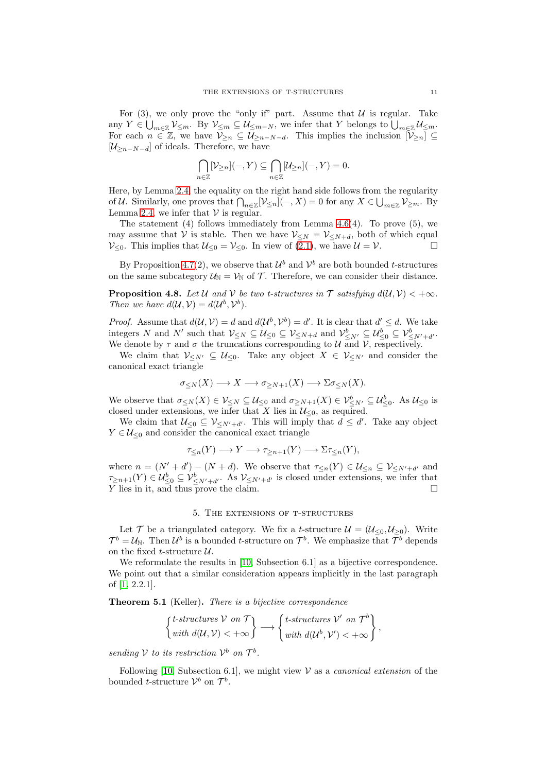For (3), we only prove the "only if" part. Assume that  $U$  is regular. Take any  $Y \in \bigcup_{m \in \mathbb{Z}} \mathcal{V}_{\leq m}$ . By  $\mathcal{V}_{\leq m} \subseteq \mathcal{U}_{\leq m-N}$ , we infer that Y belongs to  $\bigcup_{m \in \mathbb{Z}} \mathcal{U}_{\leq m}$ . For each  $n \in \mathbb{Z}$ , we have  $\overline{\mathcal{V}}_{\geq n} \subseteq \mathcal{U}_{\geq n-N-d}$ . This implies the inclusion  $[\mathcal{V}_{\geq n}] \subseteq$  $[\mathcal{U}_{\geq n-N-d}]$  of ideals. Therefore, we have

$$
\bigcap_{n\in\mathbb{Z}}[\mathcal{V}_{\geq n}](-,Y)\subseteq \bigcap_{n\in\mathbb{Z}}[\mathcal{U}_{\geq n}](-,Y)=0.
$$

Here, by Lemma [2.4,](#page-3-0) the equality on the right hand side follows from the regularity of U. Similarly, one proves that  $\bigcap_{n\in\mathbb{Z}}[\mathcal{V}_{\leq n}](-,X)=0$  for any  $X\in\bigcup_{m\in\mathbb{Z}}\mathcal{V}_{\geq m}$ . By Lemma [2.4,](#page-3-0) we infer that  $V$  is regular.

The statement  $(4)$  follows immediately from Lemma [4.6\(](#page-9-1)4). To prove  $(5)$ , we may assume that V is stable. Then we have  $V_{\leq N} = V_{\leq N+d}$ , both of which equal  $\mathcal{V}_{\leq 0}$ . This implies that  $\mathcal{U}_{\leq 0} = \mathcal{V}_{\leq 0}$ . In view of [\(2.1\)](#page-1-2), we have  $\mathcal{U} = \mathcal{V}$ .

By Proposition [4.7\(](#page-9-0)2), we observe that  $\mathcal{U}^b$  and  $\mathcal{V}^b$  are both bounded t-structures on the same subcategory  $\mathcal{U}_N = \mathcal{V}_N$  of  $\mathcal{T}$ . Therefore, we can consider their distance.

<span id="page-10-0"></span>**Proposition 4.8.** Let U and V be two t-structures in  $\mathcal{T}$  satisfying  $d(\mathcal{U}, \mathcal{V}) < +\infty$ . *Then we have*  $d(\mathcal{U}, \mathcal{V}) = d(\mathcal{U}^b, \mathcal{V}^b)$ *.* 

*Proof.* Assume that  $d(U, V) = d$  and  $d(U^b, V^b) = d'$ . It is clear that  $d' \leq d$ . We take integers N and N' such that  $\mathcal{V}_{\leq N} \subseteq \mathcal{U}_{\leq 0} \subseteq \mathcal{V}_{\leq N+d}$  and  $\mathcal{V}_{\leq N'}^b \subseteq \mathcal{U}_{\leq 0}^b \subseteq \mathcal{V}_{\leq N'+d'}^b$ . We denote by  $\tau$  and  $\sigma$  the truncations corresponding to  $\mathcal{U}$  and  $\mathcal{V}$ , respectively.

We claim that  $\mathcal{V}_{\leq N'} \subseteq \mathcal{U}_{\leq 0}$ . Take any object  $X \in \mathcal{V}_{\leq N'}$  and consider the canonical exact triangle

$$
\sigma _{\leq N}(X)\longrightarrow X\longrightarrow \sigma _{\geq N+1}(X)\longrightarrow \Sigma \sigma _{\leq N}(X).
$$

We observe that  $\sigma_{\leq N}(X) \in \mathcal{V}_{\leq N} \subseteq \mathcal{U}_{\leq 0}$  and  $\sigma_{\geq N+1}(X) \in \mathcal{V}_{\leq N'}^b \subseteq \mathcal{U}_{\leq 0}^b$ . As  $\mathcal{U}_{\leq 0}$  is closed under extensions, we infer that X lies in  $\mathcal{U}_{\leq 0}$ , as required.

We claim that  $\mathcal{U}_{\leq 0} \subseteq \mathcal{V}_{\leq N'+d'}$ . This will imply that  $d \leq d'$ . Take any object  $Y \in \mathcal{U}_{\leq 0}$  and consider the canonical exact triangle

$$
\tau_{\leq n}(Y) \longrightarrow Y \longrightarrow \tau_{\geq n+1}(Y) \longrightarrow \Sigma \tau_{\leq n}(Y),
$$

where  $n = (N' + d') - (N + d)$ . We observe that  $\tau_{\leq n}(Y) \in \mathcal{U}_{\leq N} \subseteq \mathcal{V}_{\leq N' + d'}$  and  $\tau_{\geq n+1}(Y) \in \mathcal{U}^b_{\leq 0} \subseteq \mathcal{V}^b_{\leq N'+d'}$ . As  $\mathcal{V}_{\leq N'+d'}$  is closed under extensions, we infer that Y lies in it, and thus prove the claim.  $\square$ 

5. The extensions of t-structures

Let  $\mathcal T$  be a triangulated category. We fix a *t*-structure  $\mathcal U = (\mathcal U_{\leq 0}, \mathcal U_{\geq 0})$ . Write  $\mathcal{T}^b = \mathcal{U}_{\mathbb{N}}$ . Then  $\mathcal{U}^b$  is a bounded t-structure on  $\mathcal{T}^b$ . We emphasize that  $\mathcal{T}^b$  depends on the fixed t-structure  $U$ .

We reformulate the results in [\[10,](#page-13-1) Subsection 6.1] as a bijective correspondence. We point out that a similar consideration appears implicitly in the last paragraph of [\[1,](#page-13-0) 2.2.1].

<span id="page-10-1"></span>Theorem 5.1 (Keller). *There is a bijective correspondence*

$$
\begin{Bmatrix} t-structures & \mathcal{V} \text{ on } \mathcal{T} \\ with \ d(\mathcal{U}, \mathcal{V}) < +\infty \end{Bmatrix} \longrightarrow \begin{Bmatrix} t-structures & \mathcal{V}' \text{ on } \mathcal{T}^b \\ with \ d(\mathcal{U}^b, \mathcal{V}') < +\infty \end{Bmatrix},
$$

*sending*  $V$  *to its restriction*  $V^b$  *on*  $\mathcal{T}^b$ *.* 

Following [\[10,](#page-13-1) Subsection 6.1], we might view V as a *canonical extension* of the bounded *t*-structure  $V^b$  on  $\mathcal{T}^b$ .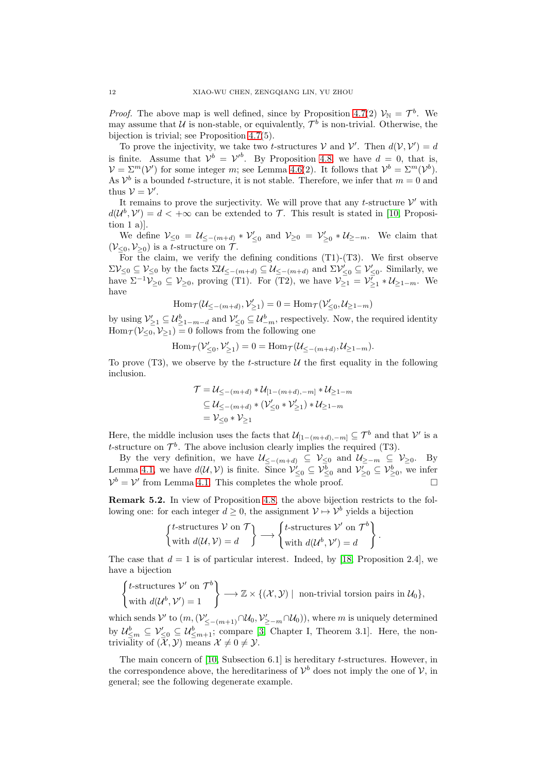*Proof.* The above map is well defined, since by Proposition [4.7\(](#page-9-0)2)  $\mathcal{V}_{\mathbb{N}} = \mathcal{T}^{b}$ . We may assume that U is non-stable, or equivalently,  $\mathcal{T}^b$  is non-trivial. Otherwise, the bijection is trivial; see Proposition [4.7\(](#page-9-0)5).

To prove the injectivity, we take two *t*-structures V and V'. Then  $d(\mathcal{V}, \mathcal{V}') = d$ is finite. Assume that  $\mathcal{V}^b = \mathcal{V}'^b$ . By Proposition [4.8,](#page-10-0) we have  $d = 0$ , that is,  $\mathcal{V} = \Sigma^m(\mathcal{V}')$  for some integer m; see Lemma [4.6\(](#page-9-1)2). It follows that  $\mathcal{V}^b = \Sigma^m(\mathcal{V}^b)$ . As  $\mathcal{V}^b$  is a bounded *t*-structure, it is not stable. Therefore, we infer that  $m = 0$  and thus  $V = V'$ .

It remains to prove the surjectivity. We will prove that any  $t$ -structure  $\mathcal{V}'$  with  $d(\mathcal{U}^b, \mathcal{V}') = d < +\infty$  can be extended to T. This result is stated in [\[10,](#page-13-1) Proposition 1 a)].

We define  $\mathcal{V}_{\leq 0} = \mathcal{U}_{\leq -(m+d)} * \mathcal{V}'_{\leq 0}$  and  $\mathcal{V}_{\geq 0} = \mathcal{V}'_{\geq 0} * \mathcal{U}_{\geq -m}$ . We claim that  $(\mathcal{V}_{\leq 0}, \mathcal{V}_{\geq 0})$  is a *t*-structure on  $\mathcal{T}$ .

For the claim, we verify the defining conditions  $(T1)-(T3)$ . We first observe  $\Sigma \mathcal{V}_{\leq 0} \subseteq \mathcal{V}_{\leq 0}$  by the facts  $\Sigma \mathcal{U}_{\leq -(m+d)} \subseteq \mathcal{U}_{\leq -(m+d)}$  and  $\Sigma \mathcal{V}'_{\leq 0} \subseteq \mathcal{V}'_{\leq 0}$ . Similarly, we have  $\Sigma^{-1}V_{\geq 0} \subseteq V_{\geq 0}$ , proving (T1). For (T2), we have  $V_{\geq 1} = V_{\geq 1} \ast U_{\geq 1-m}$ . We have

$$
\operatorname{Hom}_{\mathcal{T}}(\mathcal{U}_{\leq -(m+d)}, \mathcal{V}'_{\geq 1}) = 0 = \operatorname{Hom}_{\mathcal{T}}(\mathcal{V}'_{\leq 0}, \mathcal{U}_{\geq 1-m})
$$

by using  $\mathcal{V}'_{\geq 1} \subseteq \mathcal{U}^b_{\geq 1-m-d}$  and  $\mathcal{V}'_{\leq 0} \subseteq \mathcal{U}^b_{-m}$ , respectively. Now, the required identity  $\text{Hom}_{\mathcal{T}}(\mathcal{V}_{\leq 0}, \mathcal{V}_{\geq 1}) = 0$  follows from the following one

$$
\operatorname{Hom}_{\mathcal{T}}(\mathcal{V}'_{\leq 0}, \mathcal{V}'_{\geq 1}) = 0 = \operatorname{Hom}_{\mathcal{T}}(\mathcal{U}_{\leq -(m+d)}, \mathcal{U}_{\geq 1-m}).
$$

To prove (T3), we observe by the t-structure  $\mathcal U$  the first equality in the following inclusion.

$$
\mathcal{T} = \mathcal{U}_{\leq -(m+d)} * \mathcal{U}_{[1-(m+d),-m]} * \mathcal{U}_{\geq 1-m}
$$
  
\n
$$
\subseteq \mathcal{U}_{\leq -(m+d)} * (\mathcal{V}_{\leq 0}' * \mathcal{V}_{\geq 1}') * \mathcal{U}_{\geq 1-m}
$$
  
\n
$$
= \mathcal{V}_{\leq 0} * \mathcal{V}_{\geq 1}
$$

Here, the middle inclusion uses the facts that  $\mathcal{U}_{[1-(m+d),-m]} \subseteq \mathcal{T}^b$  and that  $\mathcal{V}'$  is a t-structure on  $\mathcal{T}^b$ . The above inclusion clearly implies the required (T3).

By the very definition, we have  $\mathcal{U}_{\leq-(m+d)} \subseteq \mathcal{V}_{\leq 0}$  and  $\mathcal{U}_{\geq -m} \subseteq \mathcal{V}_{\geq 0}$ . By Lemma [4.1,](#page-8-0) we have  $d(\mathcal{U}, \mathcal{V})$  is finite. Since  $\mathcal{V}'_{\leq 0} \subseteq \mathcal{V}^b_{\leq 0}$  and  $\mathcal{V}'_{\geq 0} \subseteq \mathcal{V}^b_{\geq 0}$ , we infer  $\mathcal{V}^b = \mathcal{V}'$  from Lemma [4.1.](#page-8-0) This completes the whole proof.

Remark 5.2. In view of Proposition [4.8,](#page-10-0) the above bijection restricts to the following one: for each integer  $d \geq 0$ , the assignment  $\mathcal{V} \mapsto \mathcal{V}^b$  yields a bijection

$$
\begin{Bmatrix} t\text{-structures } V \text{ on } \mathcal{T} \\ \text{with } d(\mathcal{U}, \mathcal{V}) = d \end{Bmatrix} \longrightarrow \begin{Bmatrix} t\text{-structures } \mathcal{V}' \text{ on } \mathcal{T}^b \\ \text{with } d(\mathcal{U}^b, \mathcal{V}') = d \end{Bmatrix}
$$

.

The case that  $d = 1$  is of particular interest. Indeed, by [\[18,](#page-13-2) Proposition 2.4], we have a bijection

$$
\begin{Bmatrix} t\text{-structures } \mathcal{V}' \text{ on } \mathcal{T}^b \\ \text{with } d(\mathcal{U}^b, \mathcal{V}') = 1 \end{Bmatrix} \longrightarrow \mathbb{Z} \times \{(\mathcal{X}, \mathcal{Y}) \mid \text{ non-trivial torsion pairs in } \mathcal{U}_0\},\
$$

which sends V' to  $(m, (\mathcal{V}'_{\leq -(m+1)} \cap \mathcal{U}_0, \mathcal{V}'_{\geq -m} \cap \mathcal{U}_0)),$  where m is uniquely determined by  $\mathcal{U}_{\leq m}^b \subseteq \mathcal{V}_{\leq 0}' \subseteq \mathcal{U}_{\leq m+1}^b$ ; compare [\[3,](#page-13-18) Chapter I, Theorem 3.1]. Here, the nontriviality of  $(\overline{\mathcal{X}}, \mathcal{Y})$  means  $\mathcal{X} \neq 0 \neq \mathcal{Y}$ .

The main concern of [\[10,](#page-13-1) Subsection 6.1] is hereditary t-structures. However, in the correspondence above, the hereditariness of  $\mathcal{V}^b$  does not imply the one of  $\mathcal{V}$ , in general; see the following degenerate example.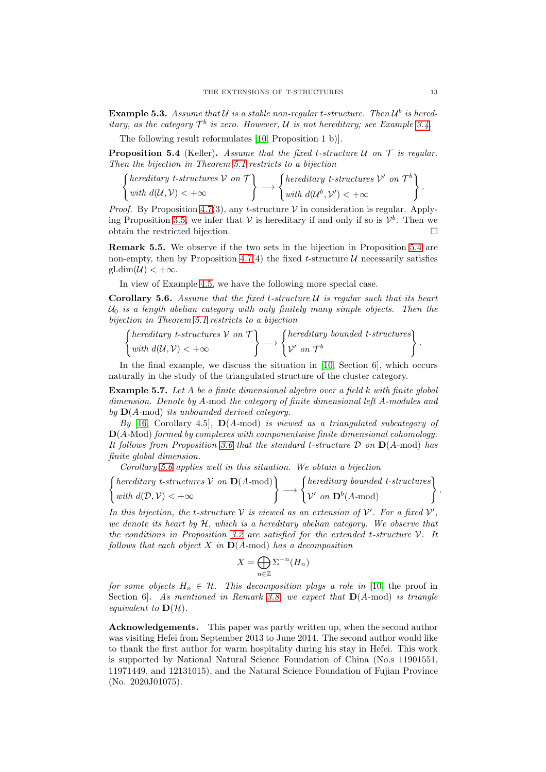**Example 5.3.** Assume that U is a stable non-regular t-structure. Then  $U^b$  is hered*itary, as the category*  $\mathcal{T}^b$  *is zero. However,*  $\mathcal{U}$  *is not hereditary; see Example [3.4.](#page-5-1)* 

The following result reformulates [\[10,](#page-13-1) Proposition 1 b)].

<span id="page-12-0"></span>Proposition 5.4 (Keller). *Assume that the fixed* t*-structure* U *on* T *is regular. Then the bijection in Theorem [5.1](#page-10-1) restricts to a bijection*

$$
\left\{\begin{matrix} hereditary \ t-structures \ V \ on \ T \\ with \ d(U,V) < +\infty \end{matrix}\right\} \longrightarrow \left\{\begin{matrix} hereditary \ t-structures \ V' \ on \ T^b \\ with \ d(U^b,V') < +\infty \end{matrix}\right\}.
$$

*Proof.* By Proposition [4.7\(](#page-9-0)3), any t-structure  $V$  in consideration is regular. Apply-ing Proposition [3.5,](#page-5-0) we infer that  $V$  is hereditary if and only if so is  $V^b$ . Then we obtain the restricted bijection.

Remark 5.5. We observe if the two sets in the bijection in Proposition [5.4](#page-12-0) are non-empty, then by Proposition [4.7\(](#page-9-0)4) the fixed t-structure  $\mathcal U$  necessarily satisfies  $gl.dim(\mathcal{U}) < +\infty$ .

In view of Example [4.5,](#page-9-2) we have the following more special case.

<span id="page-12-1"></span>Corollary 5.6. *Assume that the fixed* t*-structure* U *is regular such that its heart* U<sup>0</sup> *is a length abelian category with only finitely many simple objects. Then the bijection in Theorem [5.1](#page-10-1) restricts to a bijection*

$$
\left\{\begin{matrix} hereditary \ t-structures \ V \ on \ T \\ with \ d(U,V) < +\infty \end{matrix}\right\} \longrightarrow \left\{\begin{matrix} hereditary \ bounded \ t-structures \\ \mathcal{V}' \ on \ T^b \end{matrix}\right\}.
$$

In the final example, we discuss the situation in [\[10,](#page-13-1) Section 6], which occurs naturally in the study of the triangulated structure of the cluster category.

Example 5.7. *Let* A *be a finite dimensional algebra over a field* k *with finite global dimension. Denote by* A*-*mod *the category of finite dimensional left* A*-modules and by* D(A*-*mod) *its unbounded derived category.*

*By* [\[16,](#page-13-13) Corollary 4.5]*,* D(A*-*mod) *is viewed as a triangulated subcategory of* D(A*-*Mod) *formed by complexes with componentwise finite dimensional cohomology. It follows from Proposition [3.6](#page-6-0) that the standard* t*-structure* D *on* D(A*-*mod) *has finite global dimension.*

*Corollary [5.6](#page-12-1) applies well in this situation. We obtain a bijection*

$$
\left\{\begin{matrix} hereditary \ t-structures \ V \ on \ \mathbf{D}(A\text{-mod}) \\ with \ d(\mathcal{D}, \mathcal{V}) < +\infty \end{matrix}\right\} \longrightarrow \left\{\begin{matrix} hereditary \ bounded \ t-structures \\ \mathcal{V}' \ on \ \mathbf{D}^b(A\text{-mod}) \end{matrix}\right\}.
$$

In this bijection, the *t*-structure  $V$  is viewed as an extension of  $V'$ . For a fixed  $V'$ , *we denote its heart by* H*, which is a hereditary abelian category. We observe that the conditions in Proposition [3.2](#page-4-2) are satisfied for the extended* t*-structure* V*. It follows that each object* X *in* D(A*-*mod) *has a decomposition*

$$
X = \bigoplus_{n \in \mathbb{Z}} \Sigma^{-n}(H_n)
$$

*for some objects*  $H_n \in \mathcal{H}$ . *This decomposition plays a role in* [\[10,](#page-13-1) the proof in Section 6]*. As mentioned in Remark [3.8,](#page-7-1) we expect that* D(A*-*mod) *is triangle equivalent to*  $\mathbf{D}(\mathcal{H})$ *.* 

Acknowledgements. This paper was partly written up, when the second author was visiting Hefei from September 2013 to June 2014. The second author would like to thank the first author for warm hospitality during his stay in Hefei. This work is supported by National Natural Science Foundation of China (No.s 11901551, 11971449, and 12131015), and the Natural Science Foundation of Fujian Province (No. 2020J01075).